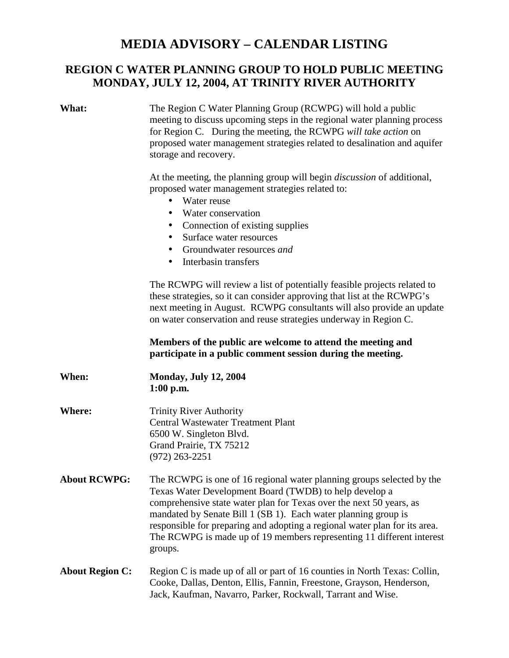## **MEDIA ADVISORY – CALENDAR LISTING**

## **REGION C WATER PLANNING GROUP TO HOLD PUBLIC MEETING MONDAY, JULY 12, 2004, AT TRINITY RIVER AUTHORITY**

| What:                  | The Region C Water Planning Group (RCWPG) will hold a public<br>meeting to discuss upcoming steps in the regional water planning process<br>for Region C. During the meeting, the RCWPG will take action on<br>proposed water management strategies related to desalination and aquifer<br>storage and recovery.<br>At the meeting, the planning group will begin <i>discussion</i> of additional,<br>proposed water management strategies related to:<br>Water reuse<br>$\bullet$<br>Water conservation<br>$\bullet$<br>Connection of existing supplies<br>$\bullet$<br>Surface water resources<br>$\bullet$<br>Groundwater resources and<br>$\bullet$<br>Interbasin transfers<br>$\bullet$ |
|------------------------|----------------------------------------------------------------------------------------------------------------------------------------------------------------------------------------------------------------------------------------------------------------------------------------------------------------------------------------------------------------------------------------------------------------------------------------------------------------------------------------------------------------------------------------------------------------------------------------------------------------------------------------------------------------------------------------------|
|                        | The RCWPG will review a list of potentially feasible projects related to<br>these strategies, so it can consider approving that list at the RCWPG's<br>next meeting in August. RCWPG consultants will also provide an update<br>on water conservation and reuse strategies underway in Region C.                                                                                                                                                                                                                                                                                                                                                                                             |
|                        | Members of the public are welcome to attend the meeting and<br>participate in a public comment session during the meeting.                                                                                                                                                                                                                                                                                                                                                                                                                                                                                                                                                                   |
| When:                  | <b>Monday, July 12, 2004</b><br>$1:00$ p.m.                                                                                                                                                                                                                                                                                                                                                                                                                                                                                                                                                                                                                                                  |
| <b>Where:</b>          | <b>Trinity River Authority</b><br><b>Central Wastewater Treatment Plant</b><br>6500 W. Singleton Blvd.<br>Grand Prairie, TX 75212<br>$(972)$ 263-2251                                                                                                                                                                                                                                                                                                                                                                                                                                                                                                                                        |
| <b>About RCWPG:</b>    | The RCWPG is one of 16 regional water planning groups selected by the<br>Texas Water Development Board (TWDB) to help develop a<br>comprehensive state water plan for Texas over the next 50 years, as<br>mandated by Senate Bill 1 (SB 1). Each water planning group is<br>responsible for preparing and adopting a regional water plan for its area.<br>The RCWPG is made up of 19 members representing 11 different interest<br>groups.                                                                                                                                                                                                                                                   |
| <b>About Region C:</b> | Region C is made up of all or part of 16 counties in North Texas: Collin,<br>Cooke, Dallas, Denton, Ellis, Fannin, Freestone, Grayson, Henderson,<br>Jack, Kaufman, Navarro, Parker, Rockwall, Tarrant and Wise.                                                                                                                                                                                                                                                                                                                                                                                                                                                                             |